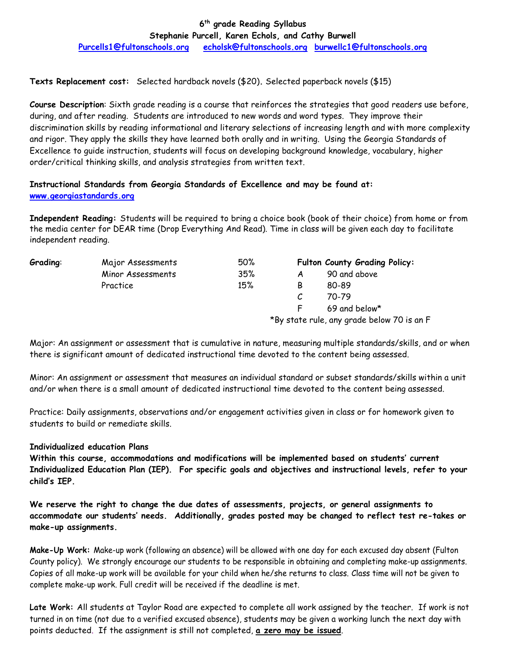## **6 th grade Reading Syllabus Stephanie Purcell, Karen Echols, and Cathy Burwell**

**[Purcells1@fultonschools.org](mailto:Purcells1@fultonschools.org) [echolsk@fultonschools.org](mailto:echolsk@fultonschools.org) [burwellc1@fultonschools.org](mailto:burwellc1@fultonschools.org)**

**Texts Replacement cost:** Selected hardback novels (\$20)**.** Selected paperback novels (\$15)

**Course Description**: Sixth grade reading is a course that reinforces the strategies that good readers use before, during, and after reading. Students are introduced to new words and word types. They improve their discrimination skills by reading informational and literary selections of increasing length and with more complexity and rigor. They apply the skills they have learned both orally and in writing. Using the Georgia Standards of Excellence to guide instruction, students will focus on developing background knowledge, vocabulary, higher order/critical thinking skills, and analysis strategies from written text.

# **Instructional Standards from Georgia Standards of Excellence and may be found at: [www.georgiastandards.org](http://www.georgiastandards.org/)**

**Independent Reading:** Students will be required to bring a choice book (book of their choice) from home or from the media center for DEAR time (Drop Everything And Read). Time in class will be given each day to facilitate independent reading.

| <b>Grading:</b> | Major Assessments | 50% | Fulton County Grading Policy:              |               |  |
|-----------------|-------------------|-----|--------------------------------------------|---------------|--|
|                 | Minor Assessments | 35% |                                            | 90 and above  |  |
|                 | Practice          | 15% | В                                          | 80-89         |  |
|                 |                   |     |                                            | 70-79         |  |
|                 |                   |     |                                            | 69 and below* |  |
|                 |                   |     | *By state rule, any grade below 70 is an F |               |  |

Major: An assignment or assessment that is cumulative in nature, measuring multiple standards/skills, and or when there is significant amount of dedicated instructional time devoted to the content being assessed.

Minor: An assignment or assessment that measures an individual standard or subset standards/skills within a unit and/or when there is a small amount of dedicated instructional time devoted to the content being assessed.

Practice: Daily assignments, observations and/or engagement activities given in class or for homework given to students to build or remediate skills.

### **Individualized education Plans**

**Within this course, accommodations and modifications will be implemented based on students' current Individualized Education Plan (IEP). For specific goals and objectives and instructional levels, refer to your child's IEP.**

**We reserve the right to change the due dates of assessments, projects, or general assignments to accommodate our students' needs. Additionally, grades posted may be changed to reflect test re-takes or make-up assignments.**

**Make-Up Work:** Make-up work (following an absence) will be allowed with one day for each excused day absent (Fulton County policy). We strongly encourage our students to be responsible in obtaining and completing make-up assignments. Copies of all make-up work will be available for your child when he/she returns to class. Class time will not be given to complete make-up work. Full credit will be received if the deadline is met.

**Late Work:** All students at Taylor Road are expected to complete all work assigned by the teacher. If work is not turned in on time (not due to a verified excused absence), students may be given a working lunch the next day with points deducted. If the assignment is still not completed, **a zero may be issued**.